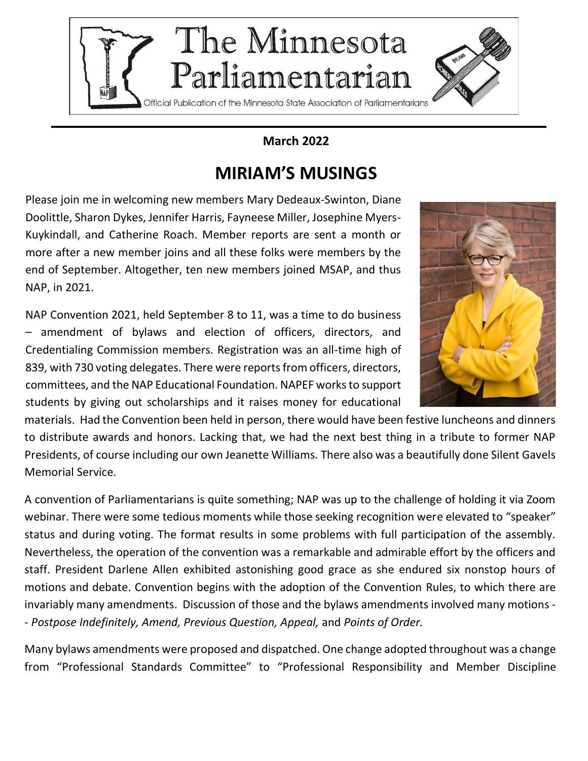

#### **March 2022**

# **MIRIAM'S MUSINGS**

Please join me in welcoming new members Mary Dedeaux-Swinton, Diane Doolittle, Sharon Dykes, Jennifer Harris, Fayneese Miller, Josephine Myers-Kuykindall, and Catherine Roach. Member reports are sent a month or more after a new member joins and all these folks were members by the end of September. Altogether, ten new members joined MSAP, and thus NAP, in 2021.

NAP Convention 2021, held September 8 to 11, was a time to do business – amendment of bylaws and election of officers, directors, and Credentialing Commission members. Registration was an all-time high of 839, with 730 voting delegates. There were reports from officers, directors, committees, and the NAP Educational Foundation. NAPEF works to support students by giving out scholarships and it raises money for educational

materials. Had the Convention been held in person, there would have been festive luncheons and dinners to distribute awards and honors. Lacking that, we had the next best thing in a tribute to former NAP Presidents, of course including our own Jeanette Williams. There also was a beautifully done Silent Gavels Memorial Service.

A convention of Parliamentarians is quite something; NAP was up to the challenge of holding it via Zoom webinar. There were some tedious moments while those seeking recognition were elevated to "speaker" status and during voting. The format results in some problems with full participation of the assembly. Nevertheless, the operation of the convention was a remarkable and admirable effort by the officers and staff. President Darlene Allen exhibited astonishing good grace as she endured six nonstop hours of motions and debate. Convention begins with the adoption of the Convention Rules, to which there are invariably many amendments. Discussion of those and the bylaws amendments involved many motions - - *Postpose Indefinitely, Amend, Previous Question, Appeal,* and *Points of Order.* 

Many bylaws amendments were proposed and dispatched. One change adopted throughout was a change from "Professional Standards Committee" to "Professional Responsibility and Member Discipline

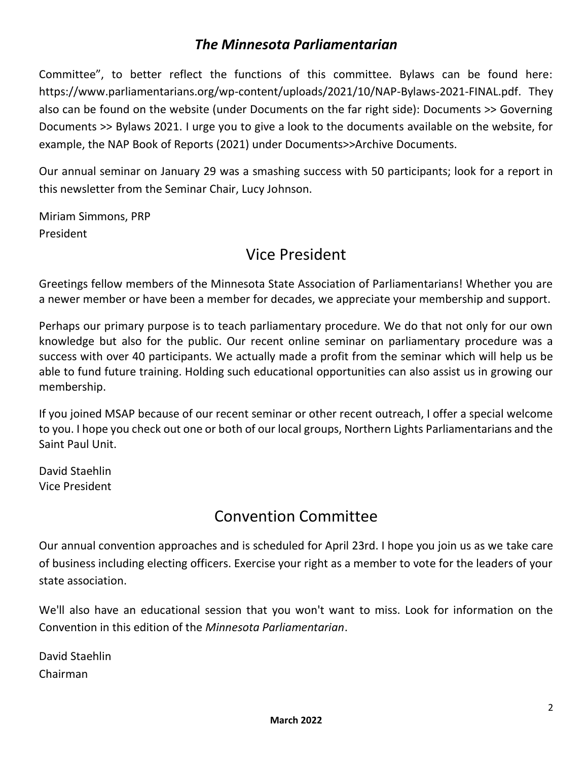Committee", to better reflect the functions of this committee. Bylaws can be found here: https://www.parliamentarians.org/wp-content/uploads/2021/10/NAP-Bylaws-2021-FINAL.pdf. They also can be found on the website (under Documents on the far right side): Documents >> Governing Documents >> Bylaws 2021. I urge you to give a look to the documents available on the website, for example, the NAP Book of Reports (2021) under Documents>>Archive Documents.

Our annual seminar on January 29 was a smashing success with 50 participants; look for a report in this newsletter from the Seminar Chair, Lucy Johnson.

Miriam Simmons, PRP President

# Vice President

Greetings fellow members of the Minnesota State Association of Parliamentarians! Whether you are a newer member or have been a member for decades, we appreciate your membership and support.

Perhaps our primary purpose is to teach parliamentary procedure. We do that not only for our own knowledge but also for the public. Our recent online seminar on parliamentary procedure was a success with over 40 participants. We actually made a profit from the seminar which will help us be able to fund future training. Holding such educational opportunities can also assist us in growing our membership.

If you joined MSAP because of our recent seminar or other recent outreach, I offer a special welcome to you. I hope you check out one or both of our local groups, Northern Lights Parliamentarians and the Saint Paul Unit.

David Staehlin Vice President

# Convention Committee

Our annual convention approaches and is scheduled for April 23rd. I hope you join us as we take care of business including electing officers. Exercise your right as a member to vote for the leaders of your state association.

We'll also have an educational session that you won't want to miss. Look for information on the Convention in this edition of the *Minnesota Parliamentarian*.

David Staehlin Chairman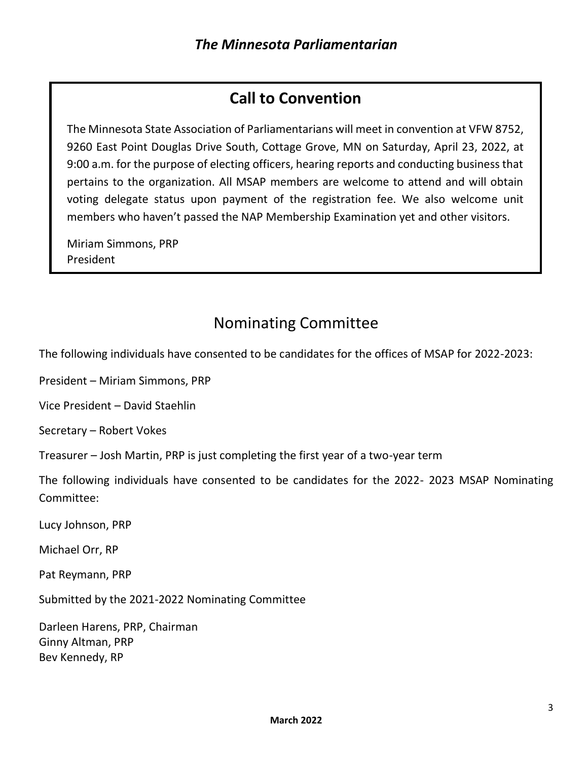## **Call to Convention**

The Minnesota State Association of Parliamentarians will meet in convention at VFW 8752, 9260 East Point Douglas Drive South, Cottage Grove, MN on Saturday, April 23, 2022, at 9:00 a.m. for the purpose of electing officers, hearing reports and conducting business that pertains to the organization. All MSAP members are welcome to attend and will obtain voting delegate status upon payment of the registration fee. We also welcome unit members who haven't passed the NAP Membership Examination yet and other visitors.

Miriam Simmons, PRP President

# Nominating Committee

The following individuals have consented to be candidates for the offices of MSAP for 2022-2023:

President – Miriam Simmons, PRP

Vice President – David Staehlin

Secretary – Robert Vokes

Treasurer – Josh Martin, PRP is just completing the first year of a two-year term

The following individuals have consented to be candidates for the 2022- 2023 MSAP Nominating Committee:

Lucy Johnson, PRP

Michael Orr, RP

Pat Reymann, PRP

Submitted by the 2021-2022 Nominating Committee

Darleen Harens, PRP, Chairman Ginny Altman, PRP Bev Kennedy, RP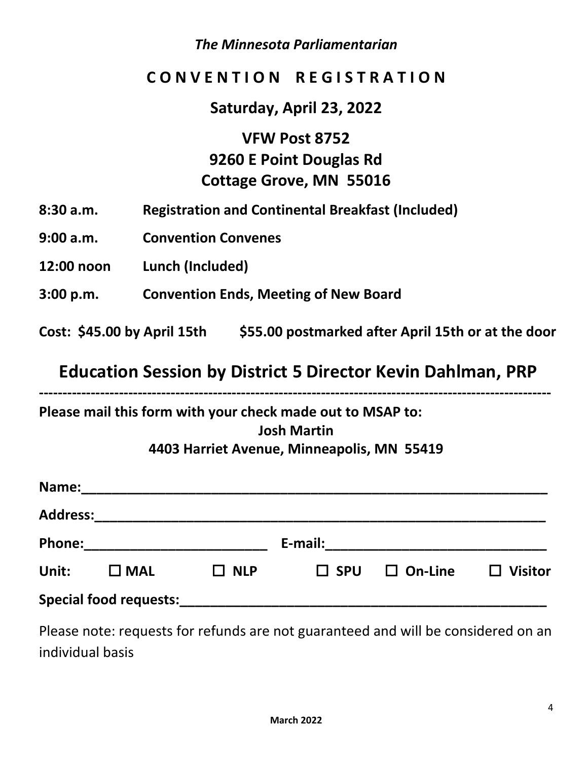## **C O N V E N T I O N R E G I S T R A T I O N**

## **Saturday, April 23, 2022**

# **VFW Post 8752 9260 E Point Douglas Rd Cottage Grove, MN 55016**

- **8:30 a.m. Registration and Continental Breakfast (Included)**
- **9:00 a.m. Convention Convenes**
- **12:00 noon Lunch (Included)**
- **3:00 p.m. Convention Ends, Meeting of New Board**

**Cost: \$45.00 by April 15th \$55.00 postmarked after April 15th or at the door**

# **Education Session by District 5 Director Kevin Dahlman, PRP**

**-------------------------------------------------------------------------------------------------------------**

**Please mail this form with your check made out to MSAP to:**

#### **Josh Martin**

#### **4403 Harriet Avenue, Minneapolis, MN 55419**

| Name:           |                               |            |            |                |                                |
|-----------------|-------------------------------|------------|------------|----------------|--------------------------------|
| <b>Address:</b> |                               |            |            |                |                                |
| <b>Phone:</b>   |                               |            | E-mail:    |                |                                |
| Unit:           | $\square$ MAL                 | $\Box$ NLP | $\Box$ SPU | $\Box$ On-Line | <b>Visitor</b><br>$\mathbf{L}$ |
|                 | <b>Special food requests:</b> |            |            |                |                                |

Please note: requests for refunds are not guaranteed and will be considered on an individual basis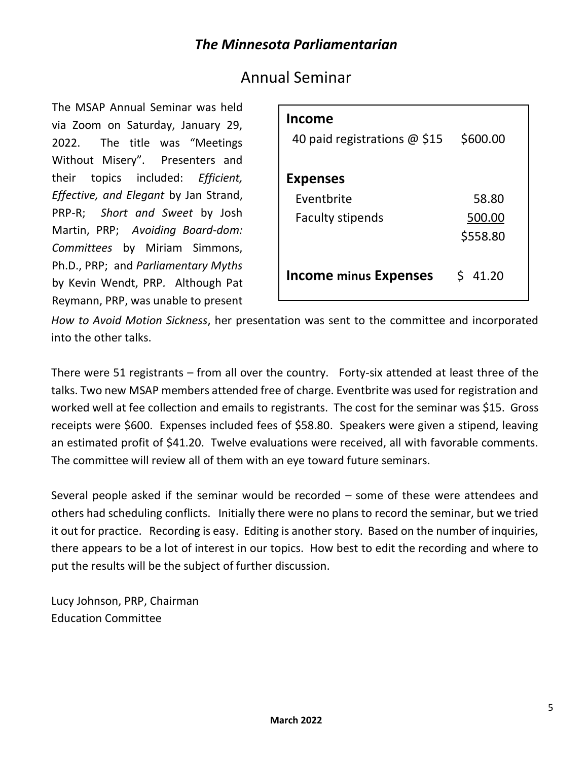# Annual Seminar

The MSAP Annual Seminar was held via Zoom on Saturday, January 29, 2022. The title was "Meetings Without Misery". Presenters and their topics included: *Efficient, Effective, and Elegant* by Jan Strand, PRP-R; *Short and Sweet* by Josh Martin, PRP; *Avoiding Board-dom: Committees* by Miriam Simmons, Ph.D., PRP; and *Parliamentary Myths* by Kevin Wendt, PRP*.* Although Pat Reymann, PRP, was unable to present

| Income<br>40 paid registrations $\omega$ \$15            | \$600.00                    |
|----------------------------------------------------------|-----------------------------|
| <b>Expenses</b><br>Eventbrite<br><b>Faculty stipends</b> | 58.80<br>500.00<br>\$558.80 |
| <b>Income minus Expenses</b>                             | 41.20<br>S.                 |

*How to Avoid Motion Sickness*, her presentation was sent to the committee and incorporated into the other talks.

There were 51 registrants – from all over the country. Forty-six attended at least three of the talks. Two new MSAP members attended free of charge. Eventbrite was used for registration and worked well at fee collection and emails to registrants. The cost for the seminar was \$15. Gross receipts were \$600. Expenses included fees of \$58.80. Speakers were given a stipend, leaving an estimated profit of \$41.20. Twelve evaluations were received, all with favorable comments. The committee will review all of them with an eye toward future seminars.

Several people asked if the seminar would be recorded – some of these were attendees and others had scheduling conflicts. Initially there were no plans to record the seminar, but we tried it out for practice. Recording is easy. Editing is another story. Based on the number of inquiries, there appears to be a lot of interest in our topics. How best to edit the recording and where to put the results will be the subject of further discussion.

Lucy Johnson, PRP, Chairman Education Committee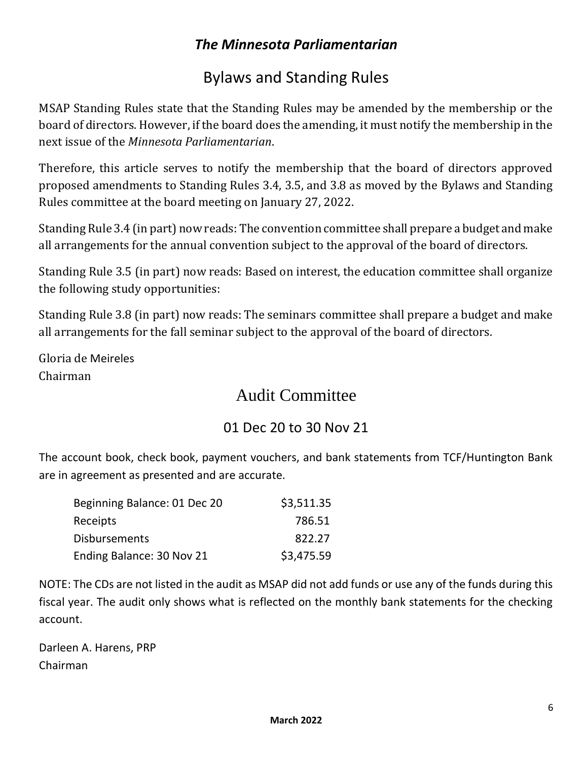# Bylaws and Standing Rules

MSAP Standing Rules state that the Standing Rules may be amended by the membership or the board of directors. However, if the board does the amending, it must notify the membership in the next issue of the *Minnesota Parliamentarian*.

Therefore, this article serves to notify the membership that the board of directors approved proposed amendments to Standing Rules 3.4, 3.5, and 3.8 as moved by the Bylaws and Standing Rules committee at the board meeting on January 27, 2022.

Standing Rule 3.4 (in part) now reads: The convention committee shall prepare a budget and make all arrangements for the annual convention subject to the approval of the board of directors.

Standing Rule 3.5 (in part) now reads: Based on interest, the education committee shall organize the following study opportunities:

Standing Rule 3.8 (in part) now reads: The seminars committee shall prepare a budget and make all arrangements for the fall seminar subject to the approval of the board of directors.

Gloria de [Meireles](https://connect.xfinity.com/appsuite/) Chairman

# Audit Committee

## 01 Dec 20 to 30 Nov 21

The account book, check book, payment vouchers, and bank statements from TCF/Huntington Bank are in agreement as presented and are accurate.

| Beginning Balance: 01 Dec 20 | \$3,511.35 |
|------------------------------|------------|
| Receipts                     | 786.51     |
| <b>Disbursements</b>         | 822.27     |
| Ending Balance: 30 Nov 21    | \$3,475.59 |

NOTE: The CDs are not listed in the audit as MSAP did not add funds or use any of the funds during this fiscal year. The audit only shows what is reflected on the monthly bank statements for the checking account.

Darleen A. Harens, PRP Chairman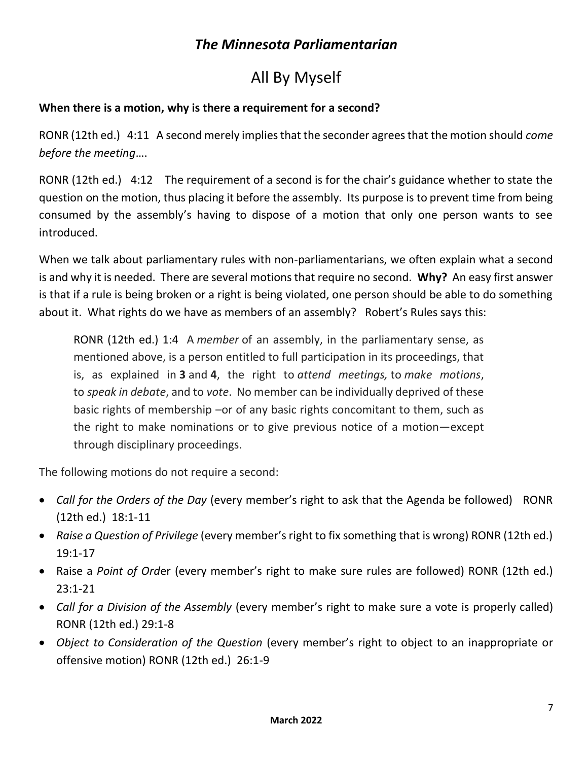# All By Myself

#### **When there is a motion, why is there a requirement for a second?**

RONR (12th ed.) 4:11 A second merely implies that the seconder agrees that the motion should *come before the meeting*….

RONR (12th ed.) 4:12 The requirement of a second is for the chair's guidance whether to state the question on the motion, thus placing it before the assembly. Its purpose is to prevent time from being consumed by the assembly's having to dispose of a motion that only one person wants to see introduced.

When we talk about parliamentary rules with non-parliamentarians, we often explain what a second is and why it is needed. There are several motions that require no second. **Why?** An easy first answer is that if a rule is being broken or a right is being violated, one person should be able to do something about it. What rights do we have as members of an assembly? Robert's Rules says this:

RONR (12th ed.) 1:4 A *member* of an assembly, in the parliamentary sense, as mentioned above, is a person entitled to full participation in its proceedings, that is, as explained in **3** and **4**, the right to *attend meetings,* to *make motions*, to *speak in debate*, and to *vote*. No member can be individually deprived of these basic rights of membership –or of any basic rights concomitant to them, such as the right to make nominations or to give previous notice of a motion—except through disciplinary proceedings.

The following motions do not require a second:

- *Call for the Orders of the Day* (every member's right to ask that the Agenda be followed) RONR (12th ed.) 18:1-11
- *Raise a Question of Privilege* (every member's right to fix something that is wrong) RONR (12th ed.) 19:1-17
- Raise a *Point of Ord*er (every member's right to make sure rules are followed) RONR (12th ed.) 23:1-21
- *Call for a Division of the Assembly* (every member's right to make sure a vote is properly called) RONR (12th ed.) 29:1-8
- *Object to Consideration of the Question* (every member's right to object to an inappropriate or offensive motion) RONR (12th ed.) 26:1-9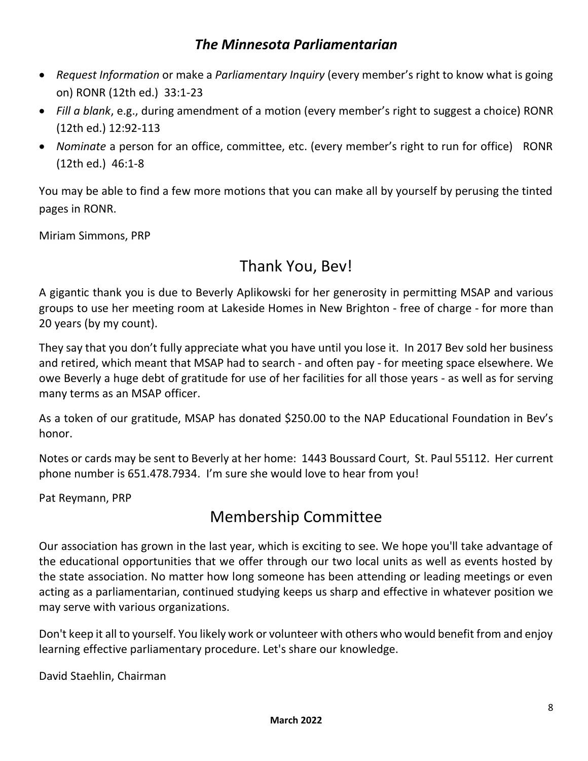- *Request Information* or make a *Parliamentary Inquiry* (every member's right to know what is going on) RONR (12th ed.) 33:1-23
- *Fill a blank*, e.g., during amendment of a motion (every member's right to suggest a choice) RONR (12th ed.) 12:92-113
- *Nominate* a person for an office, committee, etc. (every member's right to run for office) RONR (12th ed.) 46:1-8

You may be able to find a few more motions that you can make all by yourself by perusing the tinted pages in RONR.

Miriam Simmons, PRP

# Thank You, Bev!

A gigantic thank you is due to Beverly Aplikowski for her generosity in permitting MSAP and various groups to use her meeting room at Lakeside Homes in New Brighton - free of charge - for more than 20 years (by my count).

They say that you don't fully appreciate what you have until you lose it. In 2017 Bev sold her business and retired, which meant that MSAP had to search - and often pay - for meeting space elsewhere. We owe Beverly a huge debt of gratitude for use of her facilities for all those years - as well as for serving many terms as an MSAP officer.

As a token of our gratitude, MSAP has donated \$250.00 to the NAP Educational Foundation in Bev's honor.

Notes or cards may be sent to Beverly at her home: 1443 Boussard Court, St. Paul 55112. Her current phone number is 651.478.7934. I'm sure she would love to hear from you!

Pat Reymann, PRP

# Membership Committee

Our association has grown in the last year, which is exciting to see. We hope you'll take advantage of the educational opportunities that we offer through our two local units as well as events hosted by the state association. No matter how long someone has been attending or leading meetings or even acting as a parliamentarian, continued studying keeps us sharp and effective in whatever position we may serve with various organizations.

Don't keep it all to yourself. You likely work or volunteer with others who would benefit from and enjoy learning effective parliamentary procedure. Let's share our knowledge.

David Staehlin, Chairman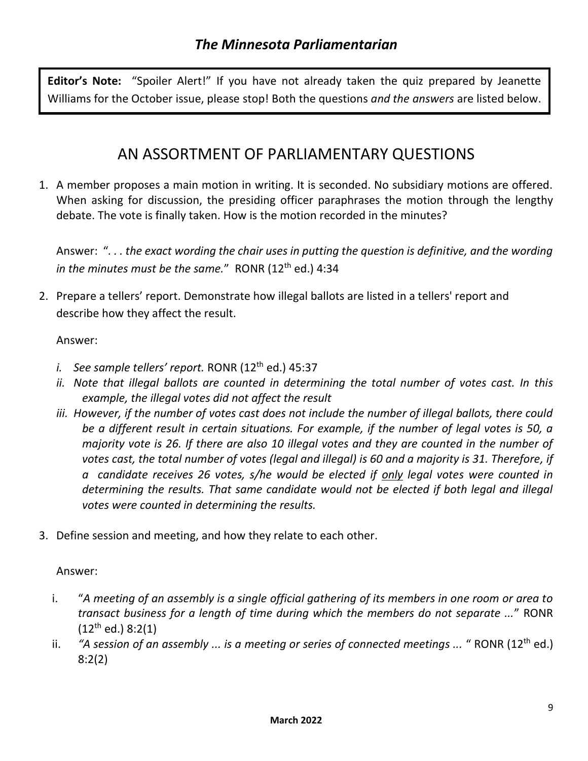**Editor's Note:** "Spoiler Alert!" If you have not already taken the quiz prepared by Jeanette Williams for the October issue, please stop! Both the questions *and the answers* are listed below.

## AN ASSORTMENT OF PARLIAMENTARY QUESTIONS

1. A member proposes a main motion in writing. It is seconded. No subsidiary motions are offered. When asking for discussion, the presiding officer paraphrases the motion through the lengthy debate. The vote is finally taken. How is the motion recorded in the minutes?

Answer: "*. . . the exact wording the chair uses in putting the question is definitive, and the wording*  in the minutes must be the same." RONR (12<sup>th</sup> ed.) 4:34

2. Prepare a tellers' report. Demonstrate how illegal ballots are listed in a tellers' report and describe how they affect the result.

#### Answer:

- *i. See sample tellers' report.* RONR (12<sup>th</sup> ed.) 45:37
- *ii. Note that illegal ballots are counted in determining the total number of votes cast. In this example, the illegal votes did not affect the result*
- iii. However, if the number of votes cast does not include the number of illegal ballots, there could *be a different result in certain situations. For example, if the number of legal votes is 50, a majority vote is 26. If there are also 10 illegal votes and they are counted in the number of votes cast, the total number of votes (legal and illegal) is 60 and a majority is 31. Therefore, if a candidate receives 26 votes, s/he would be elected if only legal votes were counted in determining the results. That same candidate would not be elected if both legal and illegal votes were counted in determining the results.*
- 3. Define session and meeting, and how they relate to each other.

#### Answer:

- i. "*A meeting of an assembly is a single official gathering of its members in one room or area to transact business for a length of time during which the members do not separate ...*" RONR  $(12^{th}$  ed.) 8:2(1)
- ii. *"A session of an assembly ... is a meeting or series of connected meetings ...* " RONR (12<sup>th</sup> ed.) 8:2(2)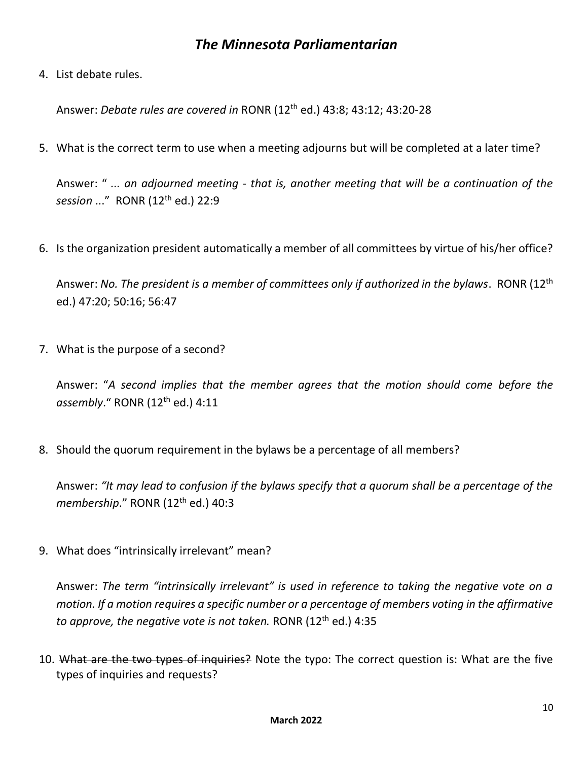4. List debate rules.

Answer: *Debate rules are covered in* RONR (12th ed.) 43:8; 43:12; 43:20-28

5. What is the correct term to use when a meeting adjourns but will be completed at a later time?

Answer: " *... an adjourned meeting - that is, another meeting that will be a continuation of the session* ..." RONR (12th ed.) 22:9

6. Is the organization president automatically a member of all committees by virtue of his/her office?

Answer: *No. The president is a member of committees only if authorized in the bylaws*. RONR (12th ed.) 47:20; 50:16; 56:47

7. What is the purpose of a second?

Answer: "*A second implies that the member agrees that the motion should come before the*  assembly." RONR (12<sup>th</sup> ed.) 4:11

8. Should the quorum requirement in the bylaws be a percentage of all members?

Answer: *"It may lead to confusion if the bylaws specify that a quorum shall be a percentage of the membership.*" RONR (12<sup>th</sup> ed.) 40:3

9. What does "intrinsically irrelevant" mean?

Answer: *The term "intrinsically irrelevant" is used in reference to taking the negative vote on a motion. If a motion requires a specific number or a percentage of members voting in the affirmative to approve, the negative vote is not taken.* RONR (12<sup>th</sup> ed.) 4:35

10. What are the two types of inquiries? Note the typo: The correct question is: What are the five types of inquiries and requests?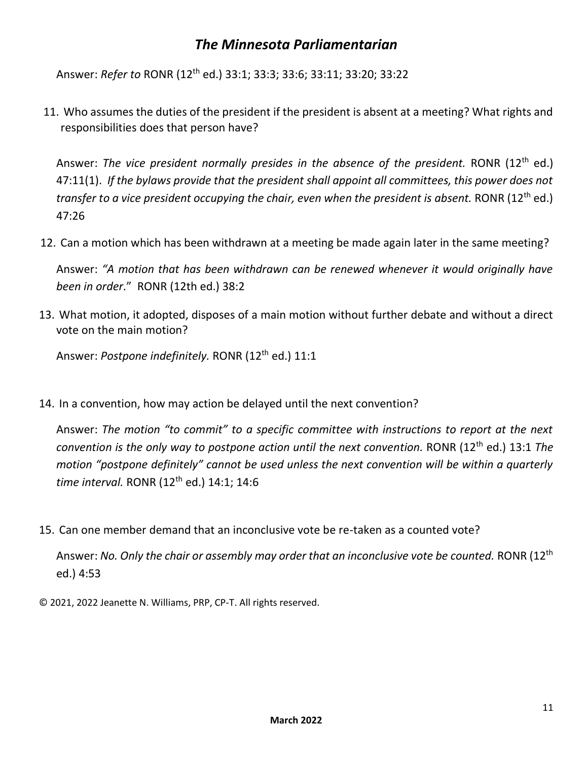Answer: *Refer to* RONR (12th ed.) 33:1; 33:3; 33:6; 33:11; 33:20; 33:22

11. Who assumes the duties of the president if the president is absent at a meeting? What rights and responsibilities does that person have?

Answer: *The vice president normally presides in the absence of the president.* RONR (12<sup>th</sup> ed.) 47:11(1). *If the bylaws provide that the president shall appoint all committees, this power does not transfer to a vice president occupying the chair, even when the president is absent.* RONR (12<sup>th</sup> ed.) 47:26

12. Can a motion which has been withdrawn at a meeting be made again later in the same meeting?

Answer: *"A motion that has been withdrawn can be renewed whenever it would originally have been in order*." RONR (12th ed.) 38:2

13. What motion, it adopted, disposes of a main motion without further debate and without a direct vote on the main motion?

Answer: Postpone indefinitely. RONR (12<sup>th</sup> ed.) 11:1

14. In a convention, how may action be delayed until the next convention?

Answer: *The motion "to commit" to a specific committee with instructions to report at the next convention is the only way to postpone action until the next convention.* RONR (12th ed.) 13:1 *The motion "postpone definitely" cannot be used unless the next convention will be within a quarterly time interval.* RONR (12<sup>th</sup> ed.) 14:1; 14:6

15. Can one member demand that an inconclusive vote be re-taken as a counted vote?

Answer: *No. Only the chair or assembly may order that an inconclusive vote be counted.* RONR (12th ed.) 4:53

© 2021, 2022 Jeanette N. Williams, PRP, CP-T. All rights reserved.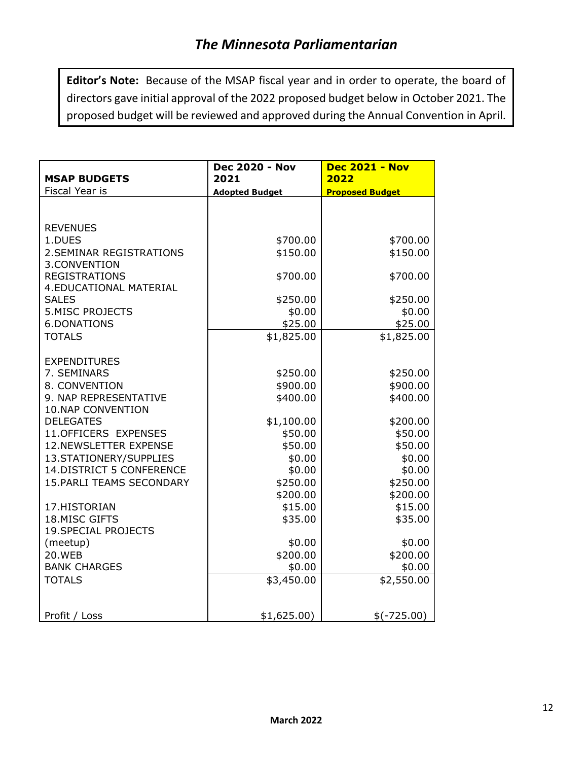**Editor's Note:** Because of the MSAP fiscal year and in order to operate, the board of directors gave initial approval of the 2022 proposed budget below in October 2021. The proposed budget will be reviewed and approved during the Annual Convention in April.

| <b>MSAP BUDGETS</b>                                    | <b>Dec 2020 - Nov</b><br>2021 | <b>Dec 2021 - Nov</b><br>2022 |
|--------------------------------------------------------|-------------------------------|-------------------------------|
| Fiscal Year is                                         | <b>Adopted Budget</b>         | <b>Proposed Budget</b>        |
|                                                        |                               |                               |
| <b>REVENUES</b>                                        |                               |                               |
| 1.DUES                                                 | \$700.00                      | \$700.00                      |
| 2. SEMINAR REGISTRATIONS<br>3.CONVENTION               | \$150.00                      | \$150.00                      |
| <b>REGISTRATIONS</b><br><b>4. EDUCATIONAL MATERIAL</b> | \$700.00                      | \$700.00                      |
| <b>SALES</b>                                           | \$250.00                      | \$250.00                      |
| <b>5.MISC PROJECTS</b>                                 | \$0.00                        | \$0.00                        |
| 6.DONATIONS                                            | \$25.00                       | \$25.00                       |
| <b>TOTALS</b>                                          | \$1,825.00                    | \$1,825.00                    |
| <b>EXPENDITURES</b><br>7. SEMINARS                     | \$250.00                      | \$250.00                      |
| 8. CONVENTION                                          | \$900.00                      | \$900.00                      |
| 9. NAP REPRESENTATIVE<br><b>10.NAP CONVENTION</b>      | \$400.00                      | \$400.00                      |
| <b>DELEGATES</b>                                       | \$1,100.00                    | \$200.00                      |
| 11.OFFICERS EXPENSES                                   | \$50.00                       | \$50.00                       |
| 12.NEWSLETTER EXPENSE                                  | \$50.00                       | \$50.00                       |
| 13.STATIONERY/SUPPLIES                                 | \$0.00                        | \$0.00                        |
| 14. DISTRICT 5 CONFERENCE                              | \$0.00                        | \$0.00                        |
| 15. PARLI TEAMS SECONDARY                              | \$250.00                      | \$250.00                      |
| 17.HISTORIAN                                           | \$200.00<br>\$15.00           | \$200.00<br>\$15.00           |
| 18.MISC GIFTS                                          | \$35.00                       | \$35.00                       |
| <b>19.SPECIAL PROJECTS</b>                             |                               |                               |
| (meetup)                                               | \$0.00                        | \$0.00                        |
| <b>20.WEB</b>                                          | \$200.00                      | \$200.00                      |
| <b>BANK CHARGES</b>                                    | \$0.00                        | \$0.00                        |
| <b>TOTALS</b>                                          | \$3,450.00                    | \$2,550.00                    |
|                                                        |                               |                               |
| Profit / Loss                                          | \$1,625.00)                   | $$(-725.00)$                  |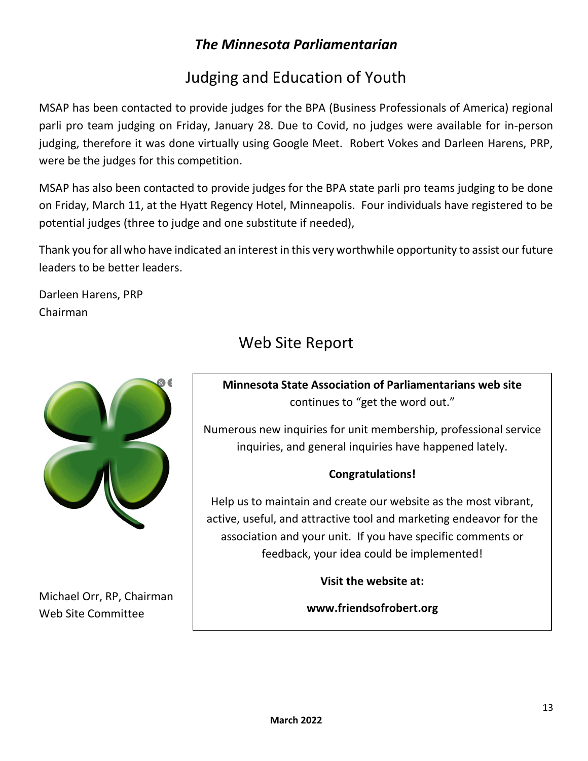# Judging and Education of Youth

MSAP has been contacted to provide judges for the BPA (Business Professionals of America) regional parli pro team judging on Friday, January 28. Due to Covid, no judges were available for in-person judging, therefore it was done virtually using Google Meet. Robert Vokes and Darleen Harens, PRP, were be the judges for this competition.

MSAP has also been contacted to provide judges for the BPA state parli pro teams judging to be done on Friday, March 11, at the Hyatt Regency Hotel, Minneapolis. Four individuals have registered to be potential judges (three to judge and one substitute if needed),

Thank you for all who have indicated an interest in this very worthwhile opportunity to assist our future leaders to be better leaders.

Darleen Harens, PRP Chairman



Michael Orr, RP, Chairman Web Site Committee

# Web Site Report

**Minnesota State Association of Parliamentarians web site**  continues to "get the word out."

Numerous new inquiries for unit membership, professional service inquiries, and general inquiries have happened lately.

#### **Congratulations!**

Help us to maintain and create our website as the most vibrant, active, useful, and attractive tool and marketing endeavor for the association and your unit. If you have specific comments or feedback, your idea could be implemented!

**Visit the website at:**

**www.friendsofrobert.org**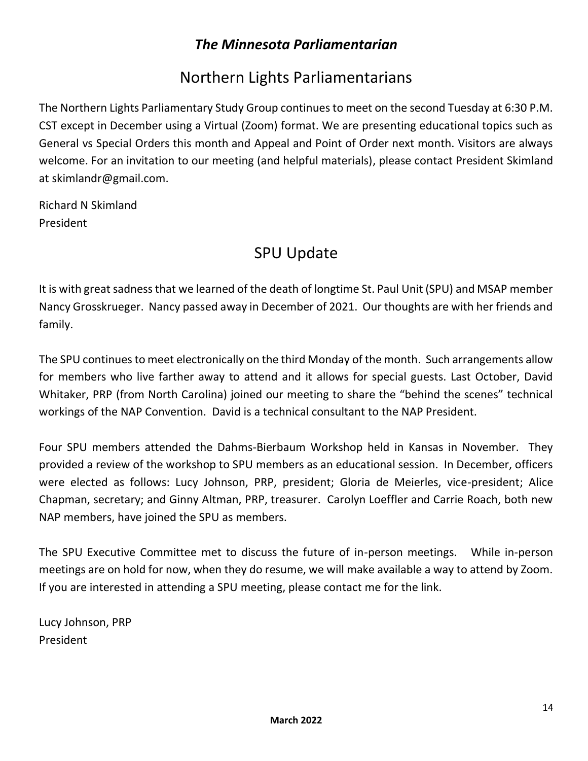# Northern Lights Parliamentarians

The Northern Lights Parliamentary Study Group continues to meet on the second Tuesday at 6:30 P.M. CST except in December using a Virtual (Zoom) format. We are presenting educational topics such as General vs Special Orders this month and Appeal and Point of Order next month. Visitors are always welcome. For an invitation to our meeting (and helpful materials), please contact President Skimland at [skimlandr@gmail.com.](mailto:skimlandr@gmail.com)

Richard N Skimland President

# SPU Update

It is with great sadness that we learned of the death of longtime St. Paul Unit (SPU) and MSAP member Nancy Grosskrueger. Nancy passed away in December of 2021. Our thoughts are with her friends and family.

The SPU continues to meet electronically on the third Monday of the month. Such arrangements allow for members who live farther away to attend and it allows for special guests. Last October, David Whitaker, PRP (from North Carolina) joined our meeting to share the "behind the scenes" technical workings of the NAP Convention. David is a technical consultant to the NAP President.

Four SPU members attended the Dahms-Bierbaum Workshop held in Kansas in November. They provided a review of the workshop to SPU members as an educational session. In December, officers were elected as follows: Lucy Johnson, PRP, president; Gloria de Meierles, vice-president; Alice Chapman, secretary; and Ginny Altman, PRP, treasurer. Carolyn Loeffler and Carrie Roach, both new NAP members, have joined the SPU as members.

The SPU Executive Committee met to discuss the future of in-person meetings. While in-person meetings are on hold for now, when they do resume, we will make available a way to attend by Zoom. If you are interested in attending a SPU meeting, please contact me for the link.

Lucy Johnson, PRP President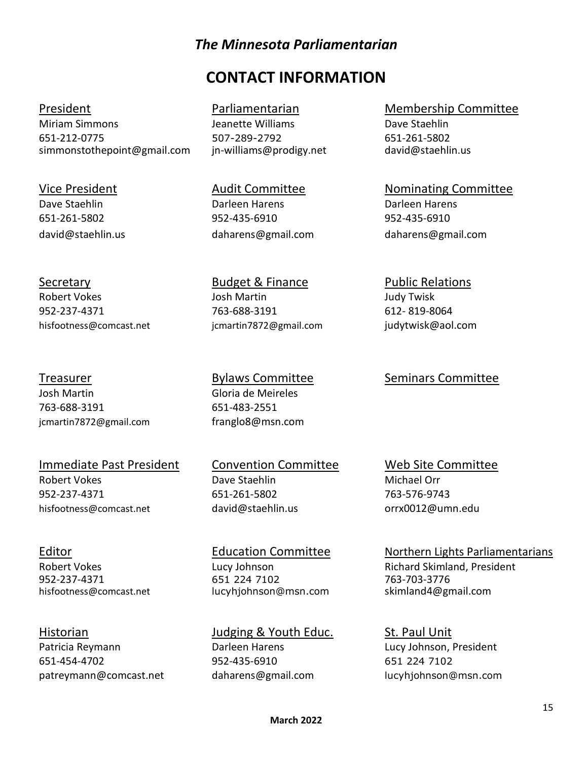## **CONTACT INFORMATION**

President **Parliamentarian** Membership Committee Miriam Simmons Jeanette Williams Dave Staehlin 651-212-0775 507-289-2792 651-261-5802 [simmonstothepoint@gmail.com](mailto:simmonstothepoint@gmail.com) jn-williams@prodigy.net david@staehlin.us

Secretary **Budget & Finance** Public Relations Robert Vokes Josh Martin Judy Twisk 952-237-4371 763-688-3191 612- 819-8064 hisfootness@comcast.net in igmartin7872@gmail.com [judytwisk@aol.com](mailto:judytwisk@aol.com)

Josh Martin Gloria de Meireles 763-688-3191 651-483-2551 jcmartin7872@gmail.com [franglo8@msn.com](mailto:franglo8@msn.com)

Immediate Past President Convention Committee Web Site Committee Robert Vokes Dave Staehlin Michael Orr 952-237-4371 651-261-5802 763-576-9743

Dave Staehlin Darleen Harens Darleen Harens 651-261-5802 952-435-6910 952-435-6910 [david@staehlin.us](mailto:david@staehlin.us) [daharens@gmail.com](mailto:daharens@gmail.com) [daharens@gmail.com](mailto:daharens@gmail.com)

hisfootness@comcast.net [david@staehlin.us](mailto:david@staehlin.us) orrx0012@umn.edu

Historian Judging & Youth Educ. St. Paul Unit Patricia Reymann **Darleen Harens** Darleen Harens Lucy Johnson, President 651-454-4702 952-435-6910 651 224 7102 patreymann@comcast.net [daharens@gmail.com](mailto:daharens@gmail.com) [lucyhjohnson@msn.com](mailto:lucyhjohnson@msn.com)

Editor **Editor** Education Committee Northern Lights Parliamentarians

952-237-4371 651 224 7102 763-703-3776 hisfootness@comcast.net [lucyhjohnson@msn.com](mailto:lucyhjohnson@msn.com) skimland4@gmail.com

Vice President **Audit Committee** Nominating Committee

Treasurer Treasurer **Subseter Seminars Committee** Seminars Committee

Robert Vokes **Robert Vokes** Lucy Johnson **Richard Skimland, President**